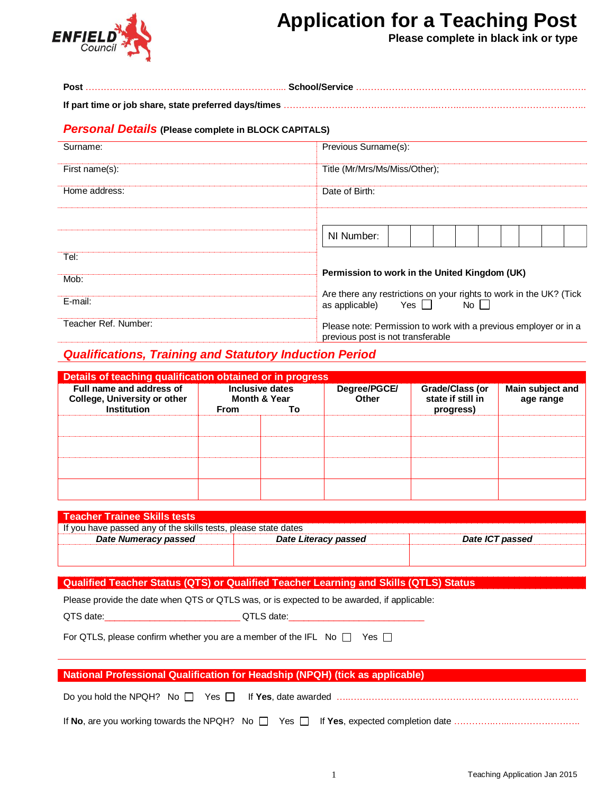

# **Application for a Teaching Post**

**Please complete in black ink or type**

| <b>Personal Details (Please complete in BLOCK CAPITALS)</b> |                                                                                                             |  |  |  |  |  |  |  |
|-------------------------------------------------------------|-------------------------------------------------------------------------------------------------------------|--|--|--|--|--|--|--|
| Surname:                                                    | Previous Surname(s):                                                                                        |  |  |  |  |  |  |  |
| First name(s):                                              | Title (Mr/Mrs/Ms/Miss/Other);                                                                               |  |  |  |  |  |  |  |
| Home address:                                               | Date of Birth:                                                                                              |  |  |  |  |  |  |  |
|                                                             |                                                                                                             |  |  |  |  |  |  |  |
|                                                             | NI Number:                                                                                                  |  |  |  |  |  |  |  |
| Tel:                                                        |                                                                                                             |  |  |  |  |  |  |  |
| Mob:                                                        | Permission to work in the United Kingdom (UK)                                                               |  |  |  |  |  |  |  |
| E-mail:                                                     | Are there any restrictions on your rights to work in the UK? (Tick<br>Yes $\Box$<br>No II<br>as applicable) |  |  |  |  |  |  |  |
| Teacher Ref. Number:                                        | Please note: Permission to work with a previous employer or in a<br>previous post is not transferable       |  |  |  |  |  |  |  |

## *Qualifications, Training and Statutory Induction Period*

| Details of teaching qualification obtained or in progress       |      |                                            |                       |                                      |                               |  |  |  |
|-----------------------------------------------------------------|------|--------------------------------------------|-----------------------|--------------------------------------|-------------------------------|--|--|--|
| Full name and address of<br><b>College, University or other</b> |      | Inclusive dates<br><b>Month &amp; Year</b> | Degree/PGCE/<br>Other | Grade/Class (or<br>state if still in | Main subject and<br>age range |  |  |  |
| Institution                                                     | From | Т٥                                         |                       | progress)                            |                               |  |  |  |
|                                                                 |      |                                            |                       |                                      |                               |  |  |  |
|                                                                 |      |                                            |                       |                                      |                               |  |  |  |
|                                                                 |      |                                            |                       |                                      |                               |  |  |  |
|                                                                 |      |                                            |                       |                                      |                               |  |  |  |
|                                                                 |      |                                            |                       |                                      |                               |  |  |  |
|                                                                 |      |                                            |                       |                                      |                               |  |  |  |
|                                                                 |      |                                            |                       |                                      |                               |  |  |  |
|                                                                 |      |                                            |                       |                                      |                               |  |  |  |

| <b>Teacher Trainee Skills tests</b>                            |                      |                 |  |  |  |  |  |  |  |
|----------------------------------------------------------------|----------------------|-----------------|--|--|--|--|--|--|--|
| If you have passed any of the skills tests, please state dates |                      |                 |  |  |  |  |  |  |  |
| Date Numeracy passed                                           | Date Literacy passed | Date ICT passed |  |  |  |  |  |  |  |
|                                                                |                      |                 |  |  |  |  |  |  |  |
|                                                                |                      |                 |  |  |  |  |  |  |  |

#### **Qualified Teacher Status (QTS) or Qualified Teacher Learning and Skills (QTLS) Status**

Please provide the date when QTS or QTLS was, or is expected to be awarded, if applicable:

QTS date:\_\_\_\_\_\_\_\_\_\_\_\_\_\_\_\_\_\_\_\_\_\_\_\_\_\_\_ QTLS date:\_\_\_\_\_\_\_\_\_\_\_\_\_\_\_\_\_\_\_\_\_\_\_\_\_\_\_

For QTLS, please confirm whether you are a member of the IFL No  $\Box$  Yes  $\Box$ 

| <b>National Professional Qualification for Headship (NPQH) (tick as applicable)</b> |  |  |  |  |  |  |  |
|-------------------------------------------------------------------------------------|--|--|--|--|--|--|--|
|                                                                                     |  |  |  |  |  |  |  |
|                                                                                     |  |  |  |  |  |  |  |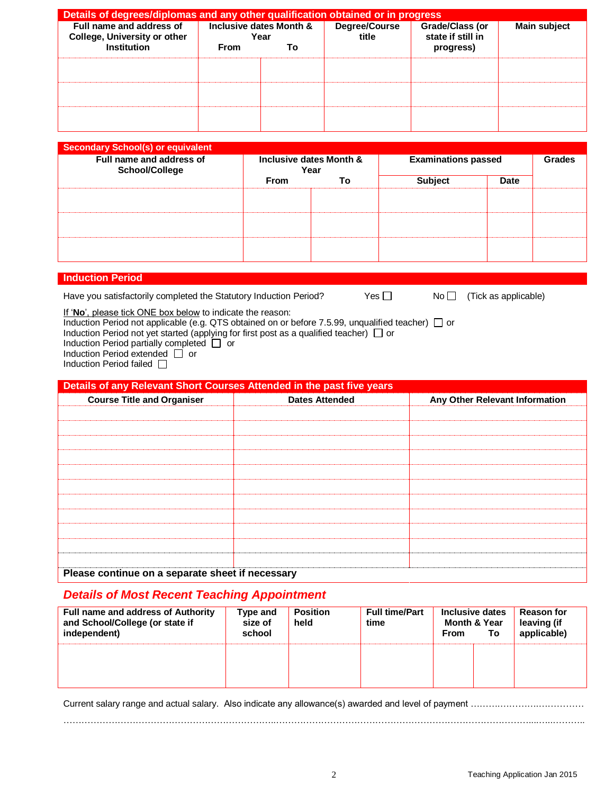| Details of degrees/diplomas and any other qualification obtained or in progress |                         |      |                        |                                      |                     |  |  |
|---------------------------------------------------------------------------------|-------------------------|------|------------------------|--------------------------------------|---------------------|--|--|
| Full name and address of<br><b>College, University or other</b>                 | Inclusive dates Month & | Year | Degree/Course<br>title | Grade/Class (or<br>state if still in | <b>Main subject</b> |  |  |
| <b>Institution</b>                                                              | From                    | То   |                        | progress)                            |                     |  |  |
|                                                                                 |                         |      |                        |                                      |                     |  |  |
|                                                                                 |                         |      |                        |                                      |                     |  |  |
|                                                                                 |                         |      |                        |                                      |                     |  |  |

| <b>Secondary School(s) or equivalent</b><br>Full name and address of<br><b>School/College</b> | Inclusive dates Month &<br>Year |    | <b>Examinations passed</b> | Grades      |  |
|-----------------------------------------------------------------------------------------------|---------------------------------|----|----------------------------|-------------|--|
|                                                                                               | <b>From</b>                     | To | <b>Subject</b>             | <b>Date</b> |  |
|                                                                                               |                                 |    |                            |             |  |
|                                                                                               |                                 |    |                            |             |  |
|                                                                                               |                                 |    |                            |             |  |
|                                                                                               |                                 |    |                            |             |  |
|                                                                                               |                                 |    |                            |             |  |

#### **Induction Period**

Have you satisfactorily completed the Statutory Induction Period?  $Yes \Box$  No  $\Box$  (Tick as applicable)

If '**No**', please tick ONE box below to indicate the reason:

Induction Period not applicable (e.g. QTS obtained on or before 7.5.99, unqualified teacher)  $\Box$  or Induction Period not yet started (applying for first post as a qualified teacher)  $\Box$  or

Induction Period partially completed  $\Box$  or

Induction Period extended  $\Box$  or

Induction Period failed  $\Box$ 

| Details of any Relevant Short Courses Attended in the past five years |                       |                                |  |  |  |  |  |  |
|-----------------------------------------------------------------------|-----------------------|--------------------------------|--|--|--|--|--|--|
| <b>Course Title and Organiser</b>                                     | <b>Dates Attended</b> | Any Other Relevant Information |  |  |  |  |  |  |
|                                                                       |                       |                                |  |  |  |  |  |  |
|                                                                       |                       |                                |  |  |  |  |  |  |
|                                                                       |                       |                                |  |  |  |  |  |  |
|                                                                       |                       |                                |  |  |  |  |  |  |
|                                                                       |                       |                                |  |  |  |  |  |  |
|                                                                       |                       |                                |  |  |  |  |  |  |
|                                                                       |                       |                                |  |  |  |  |  |  |
|                                                                       |                       |                                |  |  |  |  |  |  |
|                                                                       |                       |                                |  |  |  |  |  |  |
|                                                                       |                       |                                |  |  |  |  |  |  |
|                                                                       |                       |                                |  |  |  |  |  |  |
| Please continue on a separate sheet if necessary                      |                       |                                |  |  |  |  |  |  |

#### *Details of Most Recent Teaching Appointment*

| <b>Full name and address of Authority</b><br>and School/College (or state if<br>independent) | Type and<br>size of<br>school | <b>Position</b><br>held | <b>Full time/Part</b><br>time | Inclusive dates<br><b>Month &amp; Year</b><br>From | To | <b>Reason for</b><br>leaving (if<br>applicable) |
|----------------------------------------------------------------------------------------------|-------------------------------|-------------------------|-------------------------------|----------------------------------------------------|----|-------------------------------------------------|
|                                                                                              |                               |                         |                               |                                                    |    |                                                 |

Current salary range and actual salary. Also indicate any allowance(s) awarded and level of payment ……………………………… ……………………………………………………………..…………………………………………………………………………....…..………..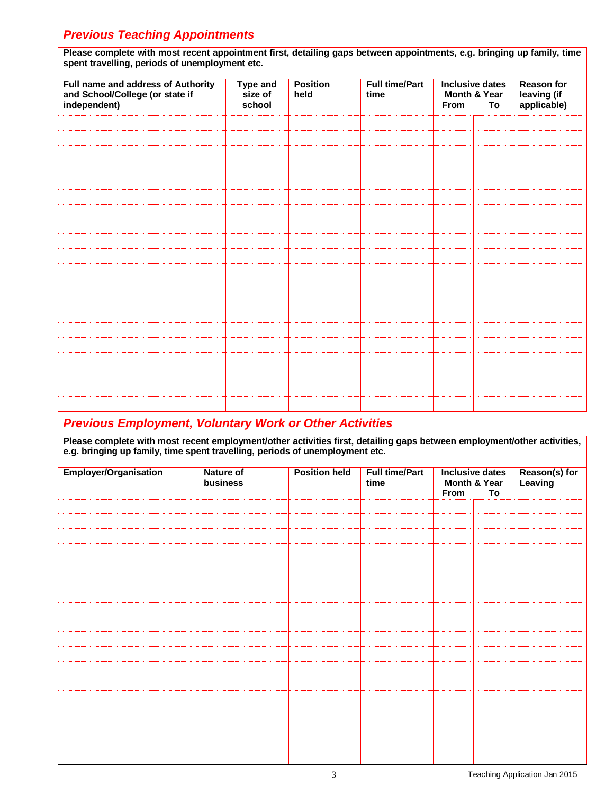# *Previous Teaching Appointments*

| Please complete with most recent appointment first, detailing gaps between appointments, e.g. bringing up family, time<br>spent travelling, periods of unemployment etc. |                                      |                         |                               |                                                             |  |                                                 |  |  |
|--------------------------------------------------------------------------------------------------------------------------------------------------------------------------|--------------------------------------|-------------------------|-------------------------------|-------------------------------------------------------------|--|-------------------------------------------------|--|--|
| Full name and address of Authority<br>and School/College (or state if<br>independent)                                                                                    | <b>Type and</b><br>size of<br>school | <b>Position</b><br>held | <b>Full time/Part</b><br>time | <b>Inclusive dates</b><br>Month & Year<br>To<br><b>From</b> |  | <b>Reason for</b><br>leaving (if<br>applicable) |  |  |
|                                                                                                                                                                          |                                      |                         |                               |                                                             |  |                                                 |  |  |
|                                                                                                                                                                          |                                      |                         |                               |                                                             |  |                                                 |  |  |
|                                                                                                                                                                          |                                      |                         |                               |                                                             |  |                                                 |  |  |
|                                                                                                                                                                          |                                      |                         |                               |                                                             |  |                                                 |  |  |
|                                                                                                                                                                          |                                      |                         |                               |                                                             |  |                                                 |  |  |
|                                                                                                                                                                          |                                      |                         |                               |                                                             |  |                                                 |  |  |
|                                                                                                                                                                          |                                      |                         |                               |                                                             |  |                                                 |  |  |
|                                                                                                                                                                          |                                      |                         |                               |                                                             |  |                                                 |  |  |
|                                                                                                                                                                          |                                      |                         |                               |                                                             |  |                                                 |  |  |
|                                                                                                                                                                          |                                      |                         |                               |                                                             |  |                                                 |  |  |
|                                                                                                                                                                          |                                      |                         |                               |                                                             |  |                                                 |  |  |
|                                                                                                                                                                          |                                      |                         |                               |                                                             |  |                                                 |  |  |
|                                                                                                                                                                          |                                      |                         |                               |                                                             |  |                                                 |  |  |
|                                                                                                                                                                          |                                      |                         |                               |                                                             |  |                                                 |  |  |
|                                                                                                                                                                          |                                      |                         |                               |                                                             |  |                                                 |  |  |
|                                                                                                                                                                          |                                      |                         |                               |                                                             |  |                                                 |  |  |
|                                                                                                                                                                          |                                      |                         |                               |                                                             |  |                                                 |  |  |
|                                                                                                                                                                          |                                      |                         |                               |                                                             |  |                                                 |  |  |
|                                                                                                                                                                          |                                      |                         |                               |                                                             |  |                                                 |  |  |
|                                                                                                                                                                          |                                      |                         |                               |                                                             |  |                                                 |  |  |

# *Previous Employment, Voluntary Work or Other Activities*

| Please complete with most recent employment/other activities first, detailing gaps between employment/other activities, |
|-------------------------------------------------------------------------------------------------------------------------|
| e.g. bringing up family, time spent travelling, periods of unemployment etc.                                            |

| Employer/Organisation | <b>Nature of</b><br>business | <b>Position held</b> | <b>Full time/Part</b><br>time | <b>Inclusive dates</b><br>Month & Year<br>To<br>From |  | Reason(s) for<br>Leaving |
|-----------------------|------------------------------|----------------------|-------------------------------|------------------------------------------------------|--|--------------------------|
|                       |                              |                      |                               |                                                      |  |                          |
|                       |                              |                      |                               |                                                      |  |                          |
|                       |                              |                      |                               |                                                      |  |                          |
|                       |                              |                      |                               |                                                      |  |                          |
|                       |                              |                      |                               |                                                      |  |                          |
|                       |                              |                      |                               |                                                      |  |                          |
|                       |                              |                      |                               |                                                      |  |                          |
|                       |                              |                      |                               |                                                      |  |                          |
|                       |                              |                      |                               |                                                      |  |                          |
|                       |                              |                      |                               |                                                      |  |                          |
|                       |                              |                      |                               |                                                      |  |                          |
|                       |                              |                      |                               |                                                      |  |                          |
|                       |                              |                      |                               |                                                      |  |                          |
|                       |                              |                      |                               |                                                      |  |                          |
|                       |                              |                      |                               |                                                      |  |                          |
|                       |                              |                      |                               |                                                      |  |                          |
|                       |                              |                      |                               |                                                      |  |                          |
|                       |                              |                      |                               |                                                      |  |                          |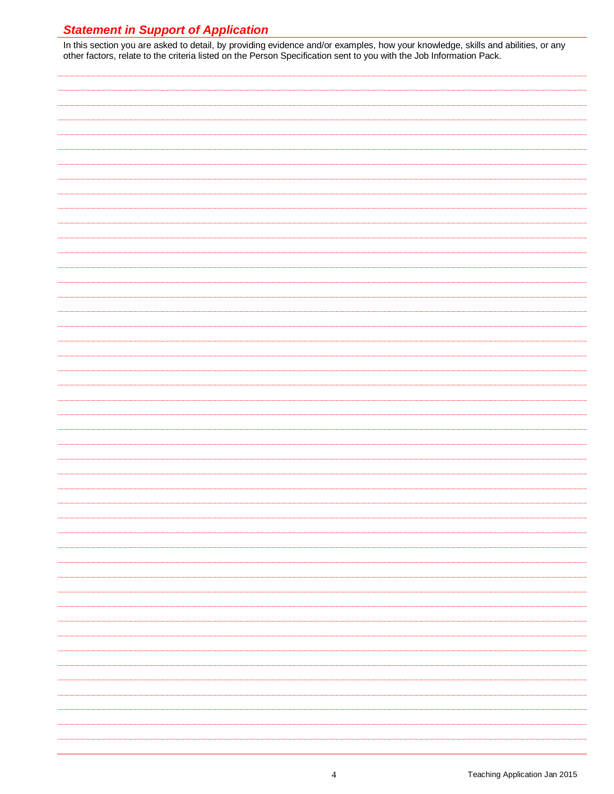# *Statement in Support of Application*

In this section you are asked to detail, by providing evidence and/or examples, how your knowledge, skills and abilities, or any other factors, relate to the criteria listed on the Person Specification sent to you with the Job Information Pack.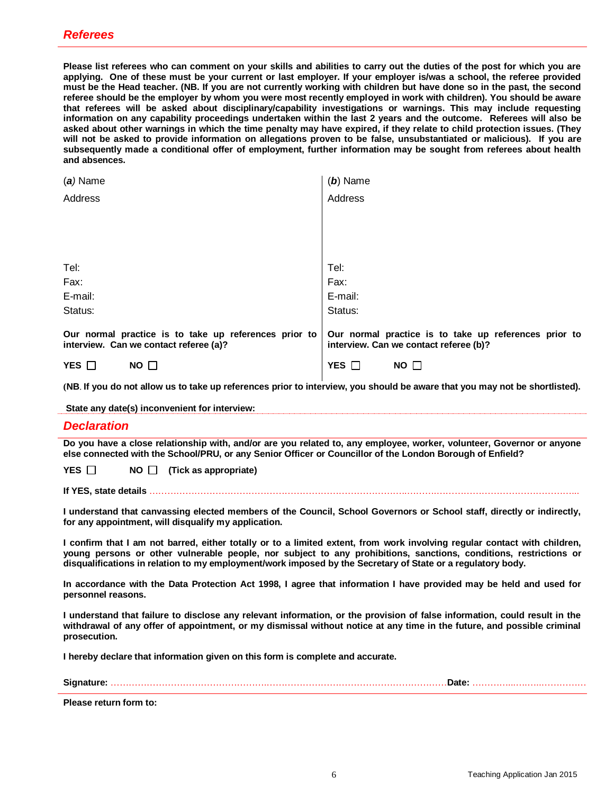**Please list referees who can comment on your skills and abilities to carry out the duties of the post for which you are applying. One of these must be your current or last employer. If your employer is/was a school, the referee provided must be the Head teacher. (NB. If you are not currently working with children but have done so in the past, the second referee should be the employer by whom you were most recently employed in work with children). You should be aware that referees will be asked about disciplinary/capability investigations or warnings. This may include requesting information on any capability proceedings undertaken within the last 2 years and the outcome. Referees will also be asked about other warnings in which the time penalty may have expired, if they relate to child protection issues. (They will not be asked to provide information on allegations proven to be false, unsubstantiated or malicious). If you are subsequently made a conditional offer of employment, further information may be sought from referees about health and absences.**

| $(a)$ Name                                                                                      | $(b)$ Name                                                                                      |
|-------------------------------------------------------------------------------------------------|-------------------------------------------------------------------------------------------------|
| Address                                                                                         | Address                                                                                         |
|                                                                                                 |                                                                                                 |
|                                                                                                 |                                                                                                 |
|                                                                                                 |                                                                                                 |
| Tel:                                                                                            | Tel:                                                                                            |
| Fax:                                                                                            | Fax:                                                                                            |
| E-mail:                                                                                         | E-mail:                                                                                         |
| Status:                                                                                         | Status:                                                                                         |
| Our normal practice is to take up references prior to<br>interview. Can we contact referee (a)? | Our normal practice is to take up references prior to<br>interview. Can we contact referee (b)? |
| YES $\square$<br>$NO \Box$                                                                      | YES $\square$<br>NO $\square$                                                                   |

**(NB**. **If you do not allow us to take up references prior to interview, you should be aware that you may not be shortlisted).** 

**State any date(s) inconvenient for interview:** 

#### *Declaration*

**Do you have a close relationship with, and/or are you related to, any employee, worker, volunteer, Governor or anyone else connected with the School/PRU, or any Senior Officer or Councillor of the London Borough of Enfield?** 

**YES** □ **NO** □ (Tick as appropriate)

**If YES, state details** …………………………………………………………………………..……….………………………………………...

**I understand that canvassing elected members of the Council, School Governors or School staff, directly or indirectly, for any appointment, will disqualify my application.**

**I confirm that I am not barred, either totally or to a limited extent, from work involving regular contact with children, young persons or other vulnerable people, nor subject to any prohibitions, sanctions, conditions, restrictions or disqualifications in relation to my employment/work imposed by the Secretary of State or a regulatory body.**

**In accordance with the Data Protection Act 1998, I agree that information I have provided may be held and used for personnel reasons.**

**I understand that failure to disclose any relevant information, or the provision of false information, could result in the withdrawal of any offer of appointment, or my dismissal without notice at any time in the future, and possible criminal prosecution.**

**I hereby declare that information given on this form is complete and accurate.**

**Signature:** …………………………………………….……………………………………………………**Date:** …………...….…..……………

**Please return form to:**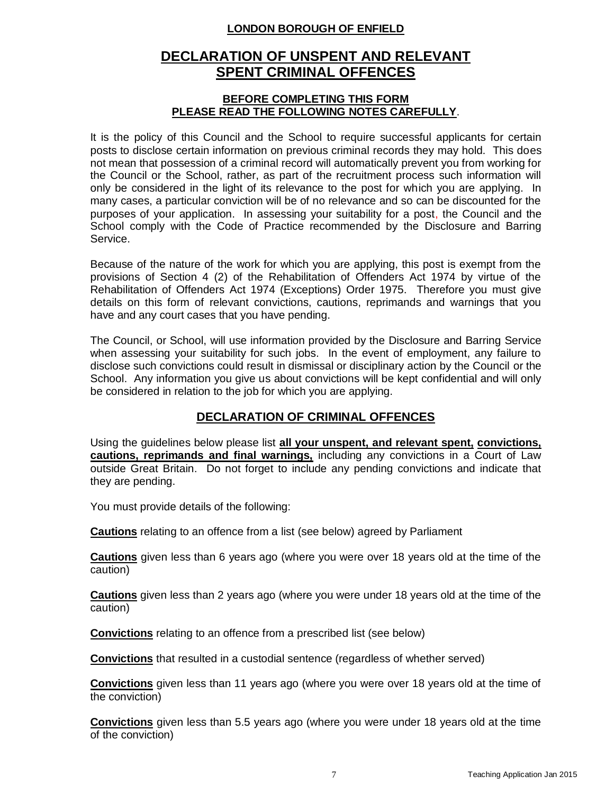## **LONDON BOROUGH OF ENFIELD**

# **DECLARATION OF UNSPENT AND RELEVANT SPENT CRIMINAL OFFENCES**

#### **BEFORE COMPLETING THIS FORM PLEASE READ THE FOLLOWING NOTES CAREFULLY**.

It is the policy of this Council and the School to require successful applicants for certain posts to disclose certain information on previous criminal records they may hold. This does not mean that possession of a criminal record will automatically prevent you from working for the Council or the School, rather, as part of the recruitment process such information will only be considered in the light of its relevance to the post for which you are applying. In many cases, a particular conviction will be of no relevance and so can be discounted for the purposes of your application. In assessing your suitability for a post, the Council and the School comply with the Code of Practice recommended by the Disclosure and Barring Service.

Because of the nature of the work for which you are applying, this post is exempt from the provisions of Section 4 (2) of the Rehabilitation of Offenders Act 1974 by virtue of the Rehabilitation of Offenders Act 1974 (Exceptions) Order 1975. Therefore you must give details on this form of relevant convictions, cautions, reprimands and warnings that you have and any court cases that you have pending.

The Council, or School, will use information provided by the Disclosure and Barring Service when assessing your suitability for such jobs. In the event of employment, any failure to disclose such convictions could result in dismissal or disciplinary action by the Council or the School. Any information you give us about convictions will be kept confidential and will only be considered in relation to the job for which you are applying.

# **DECLARATION OF CRIMINAL OFFENCES**

Using the guidelines below please list **all your unspent, and relevant spent, convictions, cautions, reprimands and final warnings,** including any convictions in a Court of Law outside Great Britain. Do not forget to include any pending convictions and indicate that they are pending.

You must provide details of the following:

**Cautions** relating to an offence from a list (see below) agreed by Parliament

**Cautions** given less than 6 years ago (where you were over 18 years old at the time of the caution)

**Cautions** given less than 2 years ago (where you were under 18 years old at the time of the caution)

**Convictions** relating to an offence from a prescribed list (see below)

**Convictions** that resulted in a custodial sentence (regardless of whether served)

**Convictions** given less than 11 years ago (where you were over 18 years old at the time of the conviction)

**Convictions** given less than 5.5 years ago (where you were under 18 years old at the time of the conviction)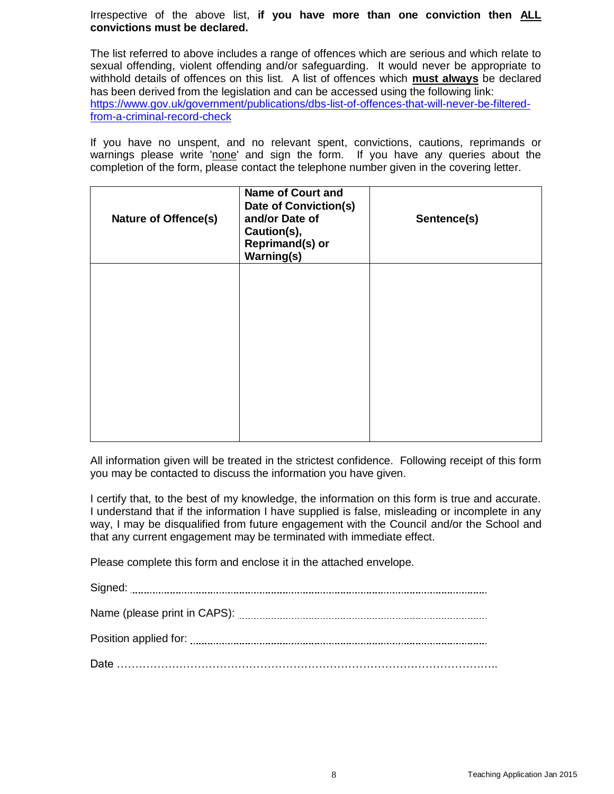Irrespective of the above list, **if you have more than one conviction then ALL convictions must be declared.**

The list referred to above includes a range of offences which are serious and which relate to sexual offending, violent offending and/or safeguarding. It would never be appropriate to withhold details of offences on this list. A list of offences which **must always** be declared has been derived from the legislation and can be accessed using the following link: [https://www.gov.uk/government/publications/dbs-list-of-offences-that-will-never-be-filtered](https://www.gov.uk/government/publications/dbs-list-of-offences-that-will-never-be-filtered-from-a-criminal-record-check)[from-a-criminal-record-check](https://www.gov.uk/government/publications/dbs-list-of-offences-that-will-never-be-filtered-from-a-criminal-record-check)

If you have no unspent, and no relevant spent, convictions, cautions, reprimands or warnings please write 'none' and sign the form. If you have any queries about the completion of the form, please contact the telephone number given in the covering letter.

| <b>Nature of Offence(s)</b> | <b>Name of Court and</b><br>Date of Conviction(s)<br>and/or Date of<br>Caution(s),<br><b>Reprimand(s) or</b><br><b>Warning(s)</b> | Sentence(s) |
|-----------------------------|-----------------------------------------------------------------------------------------------------------------------------------|-------------|
|                             |                                                                                                                                   |             |
|                             |                                                                                                                                   |             |
|                             |                                                                                                                                   |             |

All information given will be treated in the strictest confidence. Following receipt of this form you may be contacted to discuss the information you have given.

I certify that, to the best of my knowledge, the information on this form is true and accurate. I understand that if the information I have supplied is false, misleading or incomplete in any way, I may be disqualified from future engagement with the Council and/or the School and that any current engagement may be terminated with immediate effect.

Please complete this form and enclose it in the attached envelope.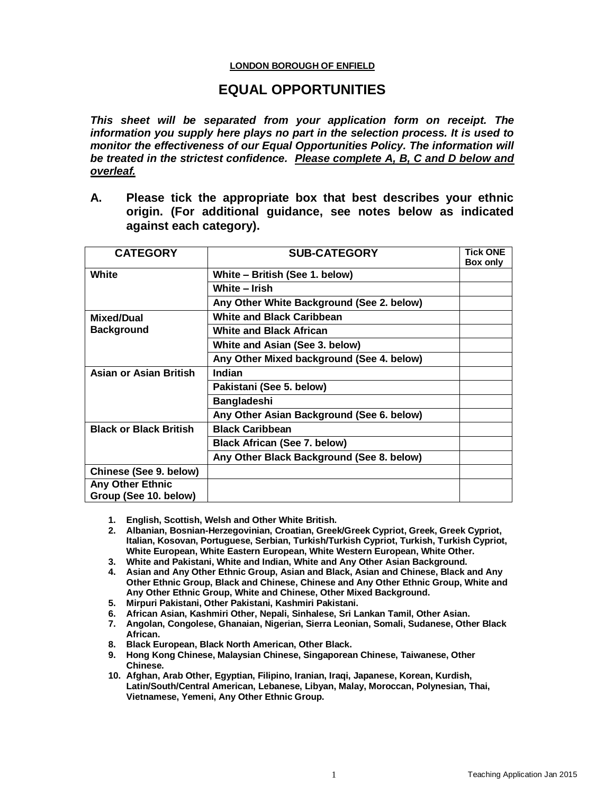#### **LONDON BOROUGH OF ENFIELD**

# **EQUAL OPPORTUNITIES**

*This sheet will be separated from your application form on receipt. The information you supply here plays no part in the selection process. It is used to monitor the effectiveness of our Equal Opportunities Policy. The information will be treated in the strictest confidence. Please complete A, B, C and D below and overleaf.*

**A. Please tick the appropriate box that best describes your ethnic origin. (For additional guidance, see notes below as indicated against each category).**

| <b>CATEGORY</b>                                  | <b>SUB-CATEGORY</b>                       | <b>Tick ONE</b><br>Box only |
|--------------------------------------------------|-------------------------------------------|-----------------------------|
| White                                            | White - British (See 1. below)            |                             |
|                                                  | White - Irish                             |                             |
|                                                  | Any Other White Background (See 2. below) |                             |
| Mixed/Dual                                       | <b>White and Black Caribbean</b>          |                             |
| <b>Background</b>                                | <b>White and Black African</b>            |                             |
|                                                  | White and Asian (See 3. below)            |                             |
|                                                  | Any Other Mixed background (See 4. below) |                             |
| Asian or Asian British                           | <b>Indian</b>                             |                             |
|                                                  | Pakistani (See 5. below)                  |                             |
|                                                  | <b>Bangladeshi</b>                        |                             |
|                                                  | Any Other Asian Background (See 6. below) |                             |
| <b>Black or Black British</b>                    | <b>Black Caribbean</b>                    |                             |
|                                                  | <b>Black African (See 7. below)</b>       |                             |
|                                                  | Any Other Black Background (See 8. below) |                             |
| Chinese (See 9. below)                           |                                           |                             |
| <b>Any Other Ethnic</b><br>Group (See 10. below) |                                           |                             |

- **1. English, Scottish, Welsh and Other White British.**
- **2. Albanian, Bosnian-Herzegovinian, Croatian, Greek/Greek Cypriot, Greek, Greek Cypriot, Italian, Kosovan, Portuguese, Serbian, Turkish/Turkish Cypriot, Turkish, Turkish Cypriot, White European, White Eastern European, White Western European, White Other.**
- **3. White and Pakistani, White and Indian, White and Any Other Asian Background.**
- **4. Asian and Any Other Ethnic Group, Asian and Black, Asian and Chinese, Black and Any Other Ethnic Group, Black and Chinese, Chinese and Any Other Ethnic Group, White and Any Other Ethnic Group, White and Chinese, Other Mixed Background.**
- **5. Mirpuri Pakistani, Other Pakistani, Kashmiri Pakistani.**
- **6. African Asian, Kashmiri Other, Nepali, Sinhalese, Sri Lankan Tamil, Other Asian.**
- **7. Angolan, Congolese, Ghanaian, Nigerian, Sierra Leonian, Somali, Sudanese, Other Black African.**
- **8. Black European, Black North American, Other Black.**
- **9. Hong Kong Chinese, Malaysian Chinese, Singaporean Chinese, Taiwanese, Other Chinese.**
- **10. Afghan, Arab Other, Egyptian, Filipino, Iranian, Iraqi, Japanese, Korean, Kurdish, Latin/South/Central American, Lebanese, Libyan, Malay, Moroccan, Polynesian, Thai, Vietnamese, Yemeni, Any Other Ethnic Group.**